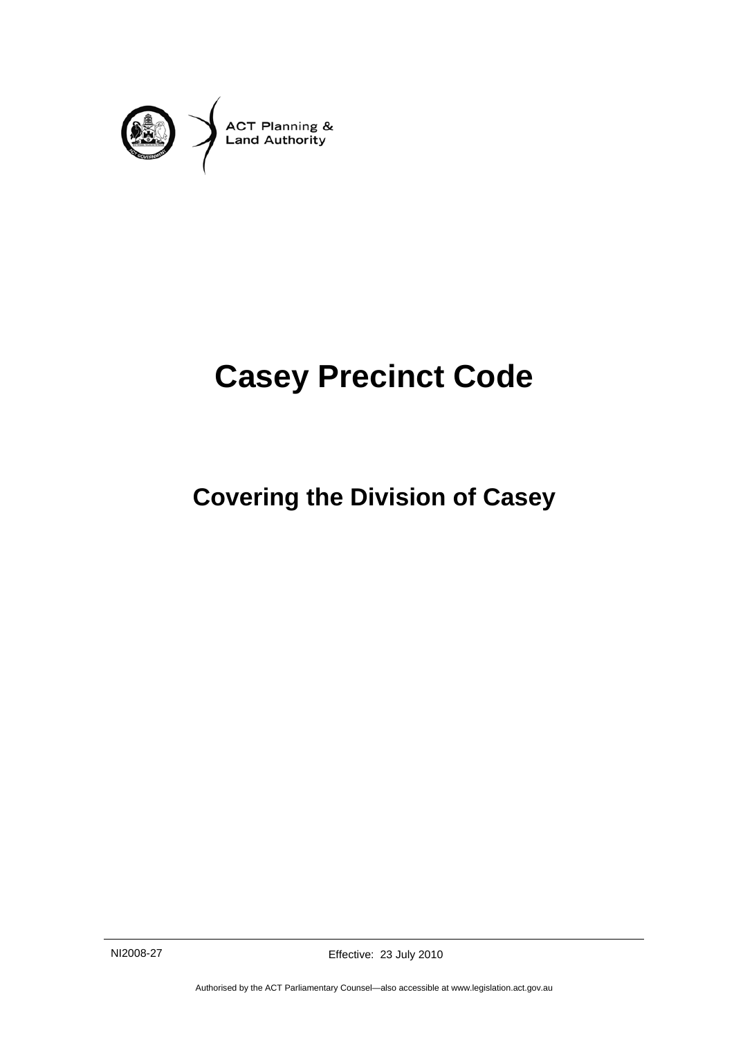

# **Casey Precinct Code**

## **Covering the Division of Casey**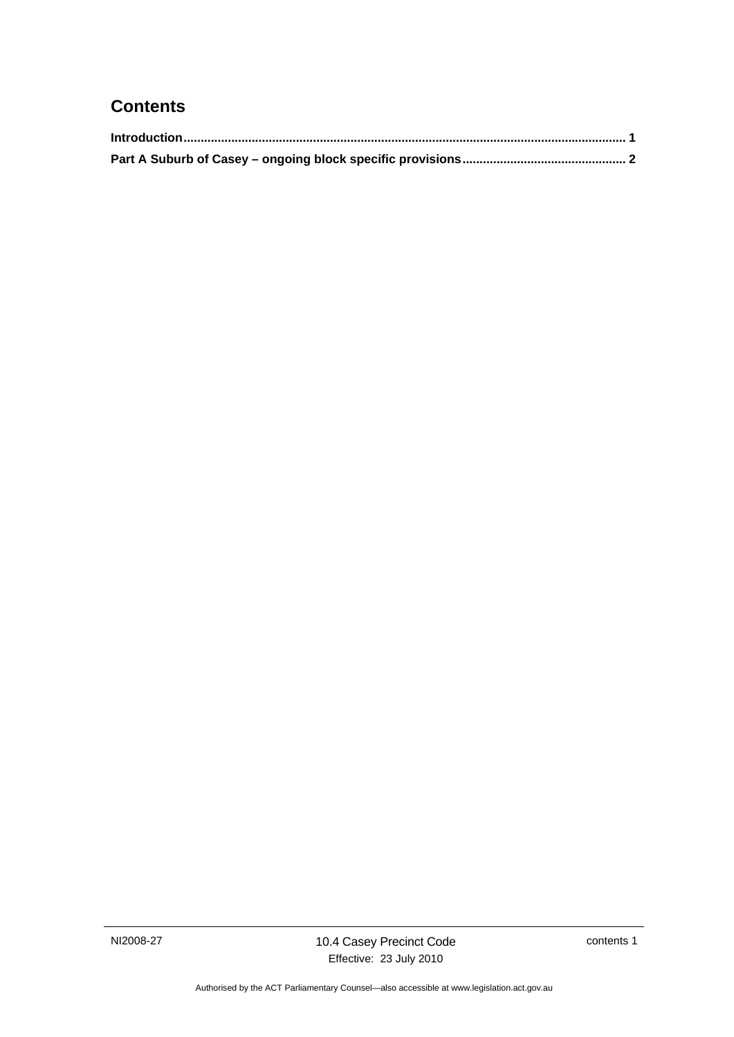### **Contents**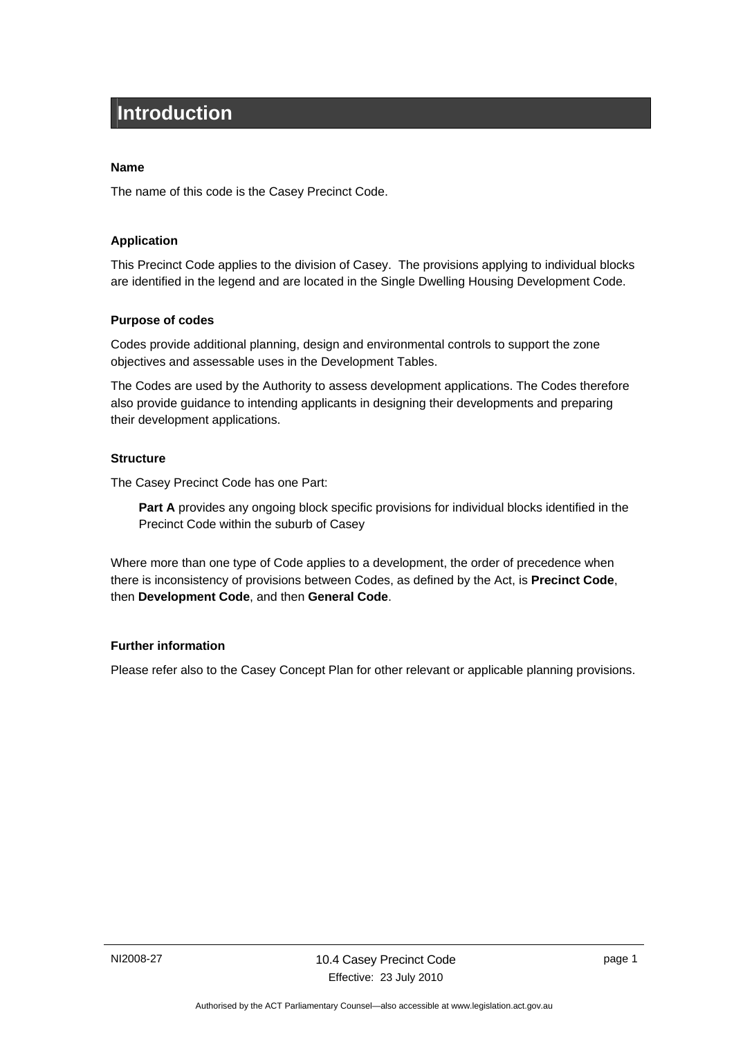## <span id="page-4-0"></span>**Introduction**

#### **Name**

The name of this code is the Casey Precinct Code.

#### **Application**

This Precinct Code applies to the division of Casey. The provisions applying to individual blocks are identified in the legend and are located in the Single Dwelling Housing Development Code.

#### **Purpose of codes**

Codes provide additional planning, design and environmental controls to support the zone objectives and assessable uses in the Development Tables.

The Codes are used by the Authority to assess development applications. The Codes therefore also provide guidance to intending applicants in designing their developments and preparing their development applications.

#### **Structure**

The Casey Precinct Code has one Part:

**Part A** provides any ongoing block specific provisions for individual blocks identified in the Precinct Code within the suburb of Casey

Where more than one type of Code applies to a development, the order of precedence when there is inconsistency of provisions between Codes, as defined by the Act, is **Precinct Code**, then **Development Code**, and then **General Code**.

#### **Further information**

Please refer also to the Casey Concept Plan for other relevant or applicable planning provisions.